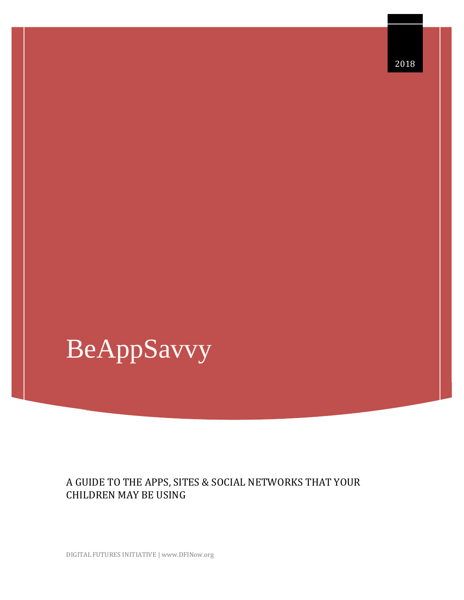# BeAppSavvy

# A GUIDE TO THE APPS, SITES & SOCIAL NETWORKS THAT YOUR CHILDREN MAY BE USING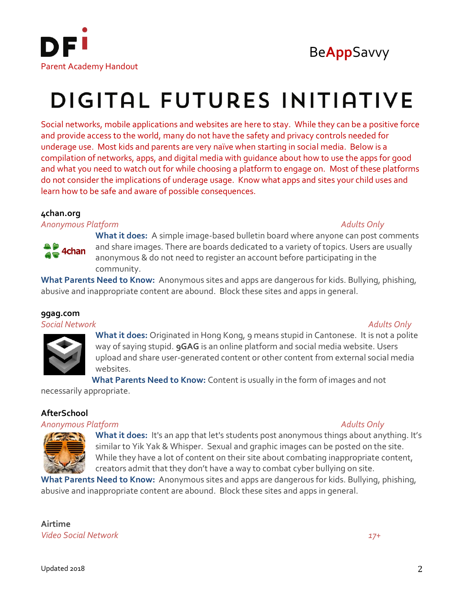



# DIGITAL FUTURES INITIATIVE

Social networks, mobile applications and websites are here to stay. While they can be a positive force and provide access to the world, many do not have the safety and privacy controls needed for underage use. Most kids and parents are very naïve when starting in social media. Below is a compilation of networks, apps, and digital media with guidance about how to use the apps for good and what you need to watch out for while choosing a platform to engage on. Most of these platforms do not consider the implications of underage usage. Know what apps and sites your child uses and learn how to be safe and aware of possible consequences.

# **4chan.org**

*Anonymous Platform Adults Only*



**What it does:** A simple image-based bulletin board where anyone can post comments and share images. There are boards dedicated to a variety of topics. Users are usually anonymous & do not need to register an account before participating in the community.

**What Parents Need to Know:** Anonymous sites and apps are dangerous for kids. Bullying, phishing, abusive and inappropriate content are abound. Block these sites and apps in general.

# **9gag.com**

*Social Network Adults Only*



**What it does:** Originated in Hong Kong, 9 means stupid in Cantonese. It is not a polite way of saying stupid. **9GAG** is an online platform and social media website. Users upload and share user-generated content or other content from external social media websites.

**What Parents Need to Know:** Content is usually in the form of images and not

necessarily appropriate.

# **AfterSchool**

# *Anonymous Platform Adults Only*



**What it does:** It's an app that let's students post anonymous things about anything. It's similar to Yik Yak & Whisper. Sexual and graphic images can be posted on the site. While they have a lot of content on their site about combating inappropriate content, creators admit that they don't have a way to combat cyber bullying on site.

**What Parents Need to Know:** Anonymous sites and apps are dangerous for kids. Bullying, phishing, abusive and inappropriate content are abound. Block these sites and apps in general.

**Airtime** *Video Social Network 17+*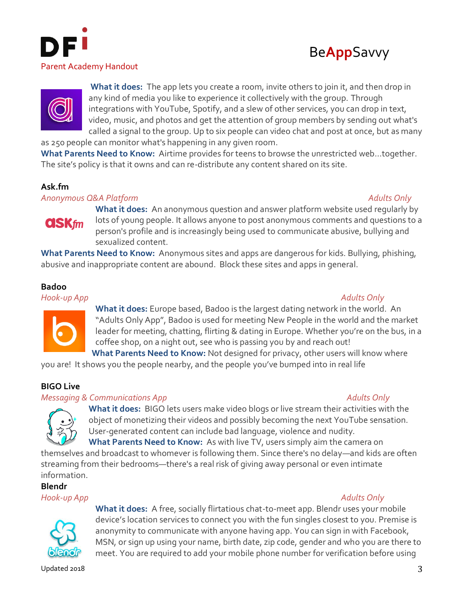





**What it does:** The app lets you create a room, invite others to join it, and then drop in any kind of media you like to experience it collectively with the group. Through integrations with YouTube, Spotify, and a slew of other services, you can drop in text, video, music, and photos and get the attention of group members by sending out what's called a signal to the group. Up to six people can video chat and post at once, but as many

as 250 people can monitor what's happening in any given room.

**What Parents Need to Know:** Airtime provides for teens to browse the unrestricted web…together. The site's policy is that it owns and can re-distribute any content shared on its site.

# **Ask.fm**

*Anonymous Q&A Platform Adults Only*



**What it does:** An anonymous question and answer platform website used regularly by lots of young people. It allows anyone to post anonymous comments and questions to a person's profile and is increasingly being used to communicate abusive, bullying and sexualized content.

**What Parents Need to Know:** Anonymous sites and apps are dangerous for kids. Bullying, phishing, abusive and inappropriate content are abound. Block these sites and apps in general.

# **Badoo**

*Hook-up App Adults Only*



**What it does:** Europe based, Badoo is the largest dating network in the world. An "Adults Only App", Badoo is used for meeting New People in the world and the market leader for meeting, chatting, flirting & dating in Europe. Whether you're on the bus, in a coffee shop, on a night out, see who is passing you by and reach out! **What Parents Need to Know:** Not designed for privacy, other users will know where

you are! It shows you the people nearby, and the people you've bumped into in real life

# **BIGO Live**

# **Messaging & Communications App Adults Only** Adults Only



**What it does:** BIGO lets users make video blogs or live stream their activities with the object of monetizing their videos and possibly becoming the next YouTube sensation. User-generated content can include bad language, violence and nudity. **What Parents Need to Know:** As with live TV, users simply aim the camera on

themselves and broadcast to whomever is following them. Since there's no delay—and kids are often streaming from their bedrooms—there's a real risk of giving away personal or even intimate information.

**Blendr**

*Hook-up App Adults Only*



**What it does:** A free, socially flirtatious chat-to-meet app. Blendr uses your mobile device's location services to connect you with the fun singles closest to you. Premise is anonymity to communicate with anyone having app. You can sign in with Facebook, MSN, or sign up using your name, birth date, zip code, gender and who you are there to meet. You are required to add your mobile phone number for verification before using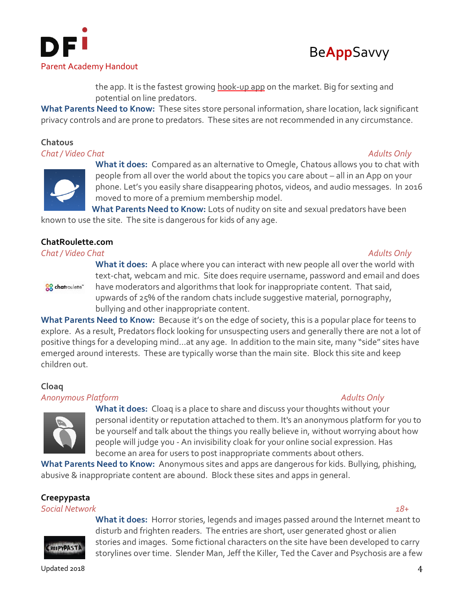



the app. It is the fastest growing hook-up app on the market. Big for sexting and potential on line predators.

**What Parents Need to Know:** These sites store personal information, share location, lack significant privacy controls and are prone to predators. These sites are not recommended in any circumstance.

# **Chatous**

*Chat / Video Chat Adults Only*





**What it does:** Compared as an alternative to Omegle, Chatous allows you to chat with people from all over the world about the topics you care about – all in an App on your phone. Let's you easily share disappearing photos, videos, and audio messages. In 2016 moved to more of a premium membership model.

**What Parents Need to Know:** Lots of nudity on site and sexual predators have been known to use the site. The site is dangerous for kids of any age.

# **ChatRoulette.com**

# *Chat / Video Chat Adults Only*

**88** chatroulette"

**What it does:** A place where you can interact with new people all over the world with text-chat, webcam and mic. Site does require username, password and email and does have moderators and algorithms that look for inappropriate content. That said, upwards of 25% of the random chats include suggestive material, pornography, bullying and other inappropriate content.

**What Parents Need to Know:** Because it's on the edge of society, this is a popular place for teens to explore. As a result, Predators flock looking for unsuspecting users and generally there are not a lot of positive things for a developing mind…at any age. In addition to the main site, many "side" sites have emerged around interests. These are typically worse than the main site. Block this site and keep children out.

# **Cloaq**

# *Anonymous Platform Adults Only*



**What it does:** Cloaq is a place to share and discuss your thoughts without your personal identity or reputation attached to them. It's an anonymous platform for you to be yourself and talk about the things you really believe in, without worrying about how people will judge you - An invisibility cloak for your online social expression. Has become an area for users to post inappropriate comments about others.

**What Parents Need to Know:** Anonymous sites and apps are dangerous for kids. Bullying, phishing, abusive & inappropriate content are abound. Block these sites and apps in general.

# **Creepypasta**

*Social Network 18+*



**What it does:** Horror stories, legends and images passed around the Internet meant to disturb and frighten readers. The entries are short, user generated ghost or alien stories and images. Some fictional characters on the site have been developed to carry storylines over time. Slender Man, Jeff the Killer, Ted the Caver and Psychosis are a few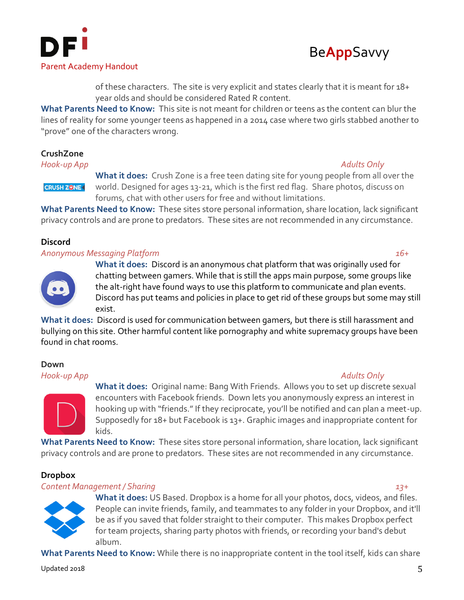



of these characters. The site is very explicit and states clearly that it is meant for 18+ year olds and should be considered Rated R content.

**What Parents Need to Know:** This site is not meant for children or teens as the content can blur the lines of reality for some younger teens as happened in a 2014 case where two girls stabbed another to "prove" one of the characters wrong.

# **CrushZone**

*Hook-up App Adults Only*

**CRUSH ZONE** 

**What it does:** Crush Zone is a free teen dating site for young people from all over the world. Designed for ages 13-21, which is the first red flag. Share photos, discuss on forums, chat with other users for free and without limitations.

**What Parents Need to Know:** These sites store personal information, share location, lack significant privacy controls and are prone to predators. These sites are not recommended in any circumstance.

# **Discord**

### *Anonymous Messaging Platform 16+*

**What it does:** Discord is an anonymous chat platform that was originally used for chatting between gamers. While that is still the apps main purpose, some groups like the alt-right have found ways to use this platform to communicate and plan events. Discord has put teams and policies in place to get rid of these groups but some may still exist.

**What it does:** Discord is used for communication between gamers, but there is still harassment and bullying on this site. Other harmful content like pornography and white supremacy groups have been found in chat rooms.

# **Down**



**What it does:** Original name: Bang With Friends. Allows you to set up discrete sexual encounters with Facebook friends. Down lets you anonymously express an interest in hooking up with "friends." If they reciprocate, you'll be notified and can plan a meet-up. Supposedly for 18+ but Facebook is 13+. Graphic images and inappropriate content for kids.

**What Parents Need to Know:** These sites store personal information, share location, lack significant privacy controls and are prone to predators. These sites are not recommended in any circumstance.

# **Dropbox**

# *Content Management / Sharing 13+*

**What it does:** US Based. Dropbox is a home for all your photos, docs, videos, and files. People can invite friends, family, and teammates to any folder in your Dropbox, and it'll be as if you saved that folder straight to their computer. This makes Dropbox perfect for team projects, sharing party photos with friends, or recording your band's debut album.

**What Parents Need to Know:** While there is no inappropriate content in the tool itself, kids can share

# *Hook-up App Adults Only*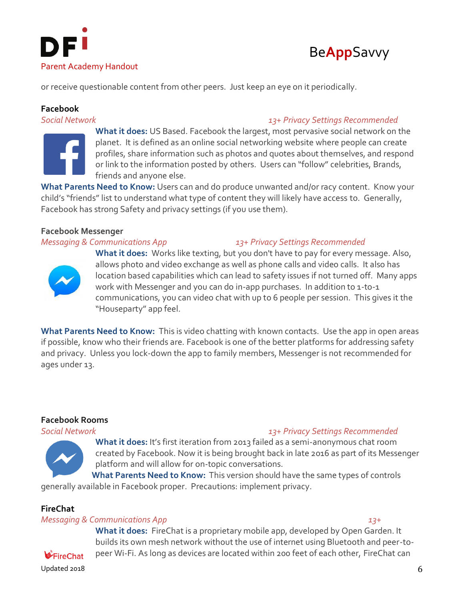



or receive questionable content from other peers. Just keep an eye on it periodically.

# **Facebook**

*Social Network 13+ Privacy Settings Recommended*



**What it does:** US Based. Facebook the largest, most pervasive social network on the planet. It is defined as an online social networking website where people can create profiles, share information such as photos and quotes about themselves, and respond or link to the information posted by others. Users can "follow" celebrities, Brands, friends and anyone else.

**What Parents Need to Know:** Users can and do produce unwanted and/or racy content. Know your child's "friends" list to understand what type of content they will likely have access to. Generally, Facebook has strong Safety and privacy settings (if you use them).

# **Facebook Messenger**

*Messaging & Communications App 13+ Privacy Settings Recommended*



**What it does:** Works like texting, but you don't have to pay for every message. Also, allows photo and video exchange as well as phone calls and video calls. It also has location based capabilities which can lead to safety issues if not turned off. Many apps work with Messenger and you can do in-app purchases. In addition to 1-to-1 communications, you can video chat with up to 6 people per session. This gives it the "Houseparty" app feel.

**What Parents Need to Know:** This is video chatting with known contacts. Use the app in open areas if possible, know who their friends are. Facebook is one of the better platforms for addressing safety and privacy. Unless you lock-down the app to family members, Messenger is not recommended for ages under 13.

# **Facebook Rooms**

# *Social Network 13+ Privacy Settings Recommended*

**What it does:** It's first iteration from 2013 failed as a semi-anonymous chat room created by Facebook. Now it is being brought back in late 2016 as part of its Messenger platform and will allow for on-topic conversations.

**What Parents Need to Know:** This version should have the same types of controls generally available in Facebook proper. Precautions: implement privacy.

# **FireChat**

# *Messaging & Communications App 13+*

**What it does:** FireChat is a proprietary mobile app, developed by Open Garden. It builds its own mesh network without the use of internet using Bluetooth and peer-topeer Wi-Fi. As long as devices are located within 200 feet of each other, FireChat can

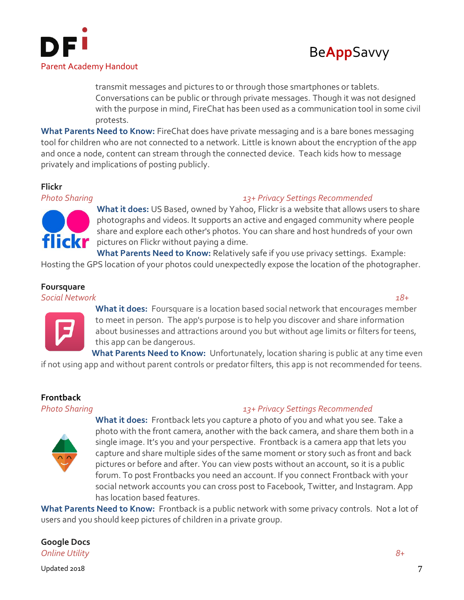



transmit messages and pictures to or through those smartphones or tablets. Conversations can be public or through private messages. Though it was not designed with the purpose in mind, FireChat has been used as a communication tool in some civil protests.

**What Parents Need to Know:** FireChat does have private messaging and is a bare bones messaging tool for children who are not connected to a network. Little is known about the encryption of the app and once a node, content can stream through the connected device. Teach kids how to message privately and implications of posting publicly.

# **Flickr**



# *Photo Sharing 13+ Privacy Settings Recommended*

**What it does:** US Based, owned by Yahoo, Flickr is a website that allows users to share photographs and videos. It supports an active and engaged community where people share and explore each other's photos. You can share and host hundreds of your own flick pictures on Flickr without paying a dime.

**What Parents Need to Know:** Relatively safe if you use privacy settings. Example: Hosting the GPS location of your photos could unexpectedly expose the location of the photographer.

# **Foursquare**

*Social Network 18+*



**What it does:** Foursquare is a location based social network that encourages member to meet in person. The app's purpose is to help you discover and share information about businesses and attractions around you but without age limits or filters for teens, this app can be dangerous.

**What Parents Need to Know:** Unfortunately, location sharing is public at any time even if not using app and without parent controls or predator filters, this app is not recommended for teens.

# **Frontback**

# *Photo Sharing 13+ Privacy Settings Recommended*



**What it does:** Frontback lets you capture a photo of you and what you see. Take a photo with the front camera, another with the back camera, and share them both in a single image. It's you and your perspective. Frontback is a camera app that lets you capture and share multiple sides of the same moment or story such as front and back pictures or before and after. You can view posts without an account, so it is a public forum. To post Frontbacks you need an account. If you connect Frontback with your social network accounts you can cross post to Facebook, Twitter, and Instagram. App has location based features.

**What Parents Need to Know:** Frontback is a public network with some privacy controls. Not a lot of users and you should keep pictures of children in a private group.

**Google Docs** *Online Utility 8+*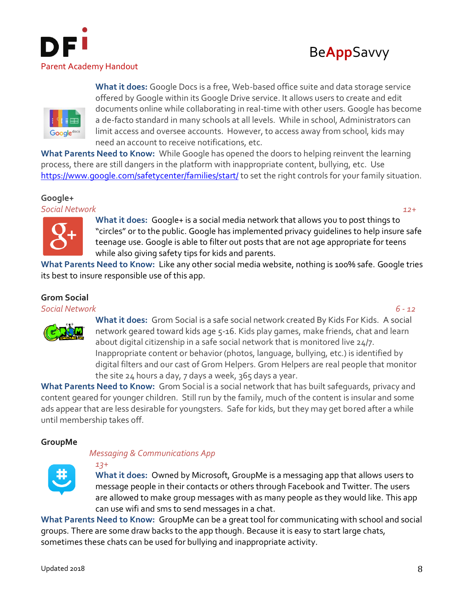





**What it does:** Google Docs is a free, Web-based office suite and data storage service offered by Google within its Google Drive service. It allows users to create and edit documents online while collaborating in real-time with other users. Google has become a de-facto standard in many schools at all levels. While in school, Administrators can limit access and oversee accounts. However, to access away from school, kids may need an account to receive notifications, etc.

**What Parents Need to Know:** While Google has opened the doors to helping reinvent the learning process, there are still dangers in the platform with inappropriate content, bullying, etc. Use <https://www.google.com/safetycenter/families/start/> to set the right controls for your family situation.

# **Google+**

*Social Network 12+*



**What it does:** Google+ is a social media network that allows you to post things to "circles" or to the public. Google has implemented privacy guidelines to help insure safe teenage use. Google is able to filter out posts that are not age appropriate for teens while also giving safety tips for kids and parents.

**What Parents Need to Know:** Like any other social media website, nothing is 100% safe. Google tries its best to insure responsible use of this app.

# **Grom Social**

*Social Network 6 - 12*



**What it does:** Grom Social is a safe social network created By Kids For Kids.A social network geared toward kids age 5-16. Kids play games, make friends, chat and learn about digital citizenship in a safe social network that is monitored live 24/7. Inappropriate content or behavior (photos, language, bullying, etc.) is identified by digital filters and our cast of Grom Helpers. Grom Helpers are real people that monitor the site 24 hours a day, 7 days a week, 365 days a year.

**What Parents Need to Know:** Grom Social is a social network that has built safeguards, privacy and content geared for younger children. Still run by the family, much of the content is insular and some ads appear that are less desirable for youngsters. Safe for kids, but they may get bored after a while until membership takes off.

# **GroupMe**

# *Messaging & Communications App*



*13+*

**What it does:** Owned by Microsoft, GroupMe is a messaging app that allows users to message people in their contacts or others through Facebook and Twitter. The users are allowed to make group messages with as many people as they would like. This app can use wifi and sms to send messages in a chat.

**What Parents Need to Know:** GroupMe can be a great tool for communicating with school and social groups. There are some draw backs to the app though. Because it is easy to start large chats, sometimes these chats can be used for bullying and inappropriate activity.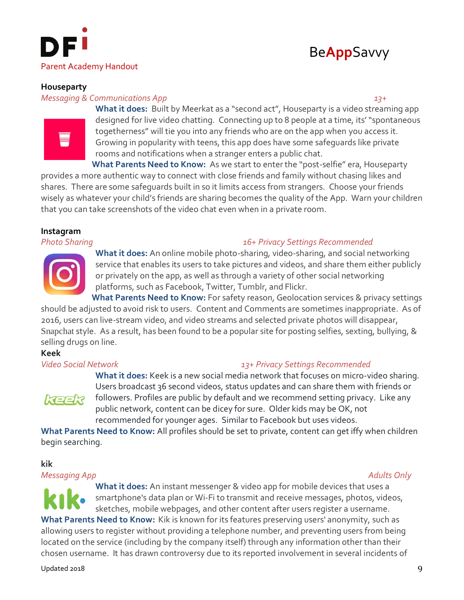



# **Houseparty**

# *Messaging & Communications App 13+*



What it does: Built by Meerkat as a "second act", Houseparty is a video streaming app designed for live video chatting. Connecting up to 8 people at a time, its' "spontaneous togetherness" will tie you into any friends who are on the app when you access it. Growing in popularity with teens, this app does have some safeguards like private rooms and notifications when a stranger enters a public chat.

**What Parents Need to Know:** As we start to enter the "post-selfie" era, Houseparty provides a more authentic way to connect with close friends and family without chasing likes and shares. There are some safeguards built in so it limits access from strangers. Choose your friends wisely as whatever your child's friends are sharing becomes the quality of the App. Warn your children that you can take screenshots of the video chat even when in a private room.

# **Instagram**

*Photo Sharing 16+ Privacy Settings Recommended*



**What it does:** An online mobile photo-sharing, video-sharing, and social networking service that enables its users to take pictures and videos, and share them either publicly or privately on the app, as well as through a variety of other social networking platforms, such as Facebook, Twitter, Tumblr, and Flickr.

**What Parents Need to Know:** For safety reason, Geolocation services & privacy settings should be adjusted to avoid risk to users. Content and Comments are sometimes inappropriate. As of 2016, users can live-stream video, and video streams and selected private photos will disappear, [Snapchat](https://www.commonsensemedia.org/app-reviews/snapchat) style. As a result, has been found to be a popular site for posting selfies, sexting, bullying, & selling drugs on line.

# **Keek**

# *Video Social Network 13+ Privacy Settings Recommended*



**What it does:** Keek is a new social media network that focuses on micro-video sharing. Users broadcast 36 second videos, status updates and can share them with friends or followers. Profiles are public by default and we recommend setting privacy. Like any public network, content can be dicey for sure. Older kids may be OK, not recommended for younger ages. Similar to Facebook but uses videos.

**What Parents Need to Know:** All profiles should be set to private, content can get iffy when children begin searching.

# **kik**

### *Messaging App Adults Only*

**What it does:** An instant messenger & video app for mobile devices that uses a [smartphone's](https://en.wikipedia.org/wiki/Smartphone) data plan o[r Wi-Fi](https://en.wikipedia.org/wiki/Wi-Fi) to transmit and receive messages, photos, videos, sketches, mobile webpages, and other content after users register a username.

What Parents Need to Know: Kik is known for its features preserving users' anonymity, such as allowing users to register without providing a telephone number, and preventing users from being located on the service (including by the company itself) through any information other than their chosen username. It has drawn controversy due to its reported involvement in several incidents of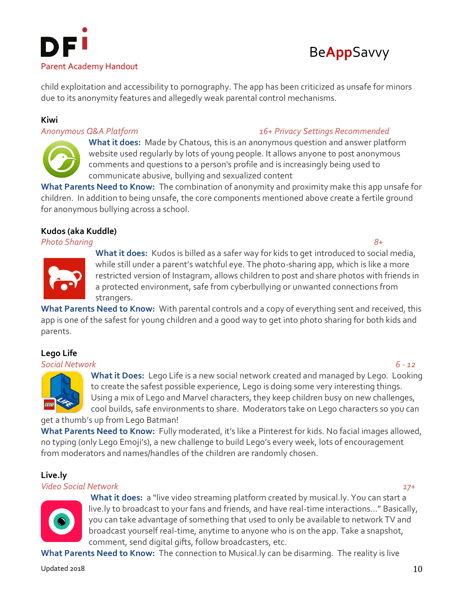



[child exploitation](https://en.wikipedia.org/wiki/Child_sexual_abuse) and accessibility to pornography. The app has been criticized as unsafe for minors due to its anonymity features and allegedly weak parental control mechanisms.

# **Kiwi**

# *Anonymous Q&A Platform 16+ Privacy Settings Recommended*



**What it does:** Made by Chatous, this is an anonymous question and answer platform website used regularly by lots of young people. It allows anyone to post anonymous comments and questions to a person's profile and is increasingly being used to communicate abusive, bullying and sexualized content

**What Parents Need to Know:** The combination of anonymity and proximity make this app unsafe for children. In addition to being unsafe, the core components mentioned above create a fertile ground for anonymous bullying across a school.

# **Kudos (aka Kuddle)**

*Photo Sharing 8+*



**What it does:** Kudos is billed as a safer way for kids to get introduced to social media, while still under a parent's watchful eye. The photo-sharing app, which is like a more restricted version of Instagram, allows children to post and share photos with friends in a protected environment, safe from cyberbullying or unwanted connections from strangers.

**What Parents Need to Know:** With parental controls and a copy of everything sent and received, this app is one of the safest for young children and a good way to get into photo sharing for both kids and parents.

# **Lego Life**

## *Social Network 6 - 12*



**What it Does:** Lego Life is a new social network created and managed by Lego. Looking to create the safest possible experience, Lego is doing some very interesting things. Using a mix of Lego and Marvel characters, they keep children busy on new challenges, cool builds, safe environments to share. Moderators take on Lego characters so you can get a thumb's up from Lego Batman!

**What Parents Need to Know:** Fully moderated, it's like a Pinterest for kids. No facial images allowed, no typing (only Lego Emoji's), a new challenge to build Lego's every week, lots of encouragement from moderators and names/handles of the children are randomly chosen.

# **Live.ly**

# *Video Social Network 17+*



**What it does:** a "live video streaming platform created by musical.ly. You can start a live.ly to broadcast to your fans and friends, and have real-time interactions…" Basically, you can take advantage of something that used to only be available to network TV and broadcast yourself real-time, anytime to anyone who is on the app. Take a snapshot, comment, send digital gifts, follow broadcasters, etc.

**What Parents Need to Know:** The connection to Musical.ly can be disarming. The reality is live

Updated 2018  $\hspace{0.5cm}10$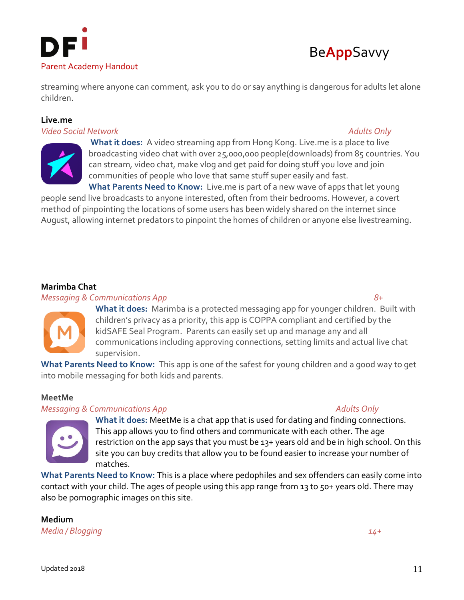



streaming where anyone can comment, ask you to do or say anything is dangerous for adults let alone children.

# **Live.me**

## *Video Social Network Adults Only*



**What it does:** A video streaming app from Hong Kong. Live.me is a place to live broadcasting video chat with over 25,000,000 people(downloads) from 85 countries. You can stream, video chat, make vlog and get paid for doing stuff you love and join communities of people who love that same stuff super easily and fast.

**What Parents Need to Know:** Live.me is part of a new wave of apps that let young people send live broadcasts to anyone interested, often from their bedrooms. However, a covert method of pinpointing the locations of some users has been widely shared on the internet since August, allowing internet predators to pinpoint the homes of children or anyone else livestreaming.

# **Marimba Chat**

### *Messaging & Communications App 8+*



**What it does:** Marimba is a protected messaging app for younger children. Built with children's privacy as a priority, this app is COPPA compliant and certified by the kidSAFE Seal Program. Parents can easily set up and manage any and all communications including approving connections, setting limits and actual live chat supervision.

**What Parents Need to Know:** This app is one of the safest for young children and a good way to get into mobile messaging for both kids and parents.

# **MeetMe**

### *Messaging & Communications App* Adults Only



**What it does:** MeetMe is a chat app that is used for dating and finding connections. This app allows you to find others and communicate with each other. The age restriction on the app says that you must be 13+ years old and be in high school. On this site you can buy credits that allow you to be found easier to increase your number of matches.

**What Parents Need to Know:** This is a place where pedophiles and sex offenders can easily come into contact with your child. The ages of people using this app range from 13 to 50+ years old. There may also be pornographic images on this site.

**Medium** *Media / Blogging 14+*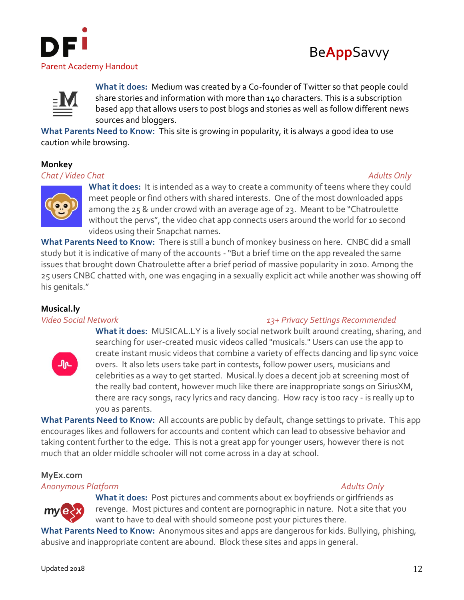





**What it does:** Medium was created by a Co-founder of Twitter so that people could share stories and information with more than 140 characters. This is a subscription based app that allows users to post blogs and stories as well as follow different news sources and bloggers.

**What Parents Need to Know:** This site is growing in popularity, it is always a good idea to use caution while browsing.

# **Monkey**

# *Chat / Video Chat Adults Only*



What it does: It is intended as a way to create a community of teens where they could meet people or find others with shared interests. One of the most downloaded apps among the 25 & under crowd with an average age of 23. Meant to be "Chatroulette without the pervs", the video chat app connects users around the world for 10 second videos using their Snapchat names.

**What Parents Need to Know:** There is still a bunch of monkey business on here. CNBC did a small study but it is indicative of many of the accounts -"But a brief time on the app revealed the same issues that brought down Chatroulette after a brief period of massive popularity in 2010. Among the 25 users CNBC chatted with, one was engaging in a sexually explicit act while another was showing off his genitals."

# **Musical.ly**



# *Video Social Network 13+ Privacy Settings Recommended*

**What it does:** MUSICAL.LY is a lively social network built around creating, sharing, and searching for user-created music videos called "musicals." Users can use the app to create instant music videos that combine a variety of effects dancing and lip sync voice overs. It also lets users take part in contests, follow power users, musicians and celebrities as a way to get started. Musical.ly does a decent job at screening most of the really bad content, however much like there are inappropriate songs on SiriusXM, there are racy songs, racy lyrics and racy dancing. How racy is too racy - is really up to you as parents.

**What Parents Need to Know:** All accounts are public by default, change settings to private. This app encourages likes and followers for accounts and content which can lead to obsessive behavior and taking content further to the edge. This is not a great app for younger users, however there is not much that an older middle schooler will not come across in a day at school.

# **MyEx.com**

*Anonymous Platform Adults Only*

# mve.

**What it does:** Post pictures and comments about ex boyfriends or girlfriends as revenge. Most pictures and content are pornographic in nature. Not a site that you want to have to deal with should someone post your pictures there.

**What Parents Need to Know:** Anonymous sites and apps are dangerous for kids. Bullying, phishing, abusive and inappropriate content are abound. Block these sites and apps in general.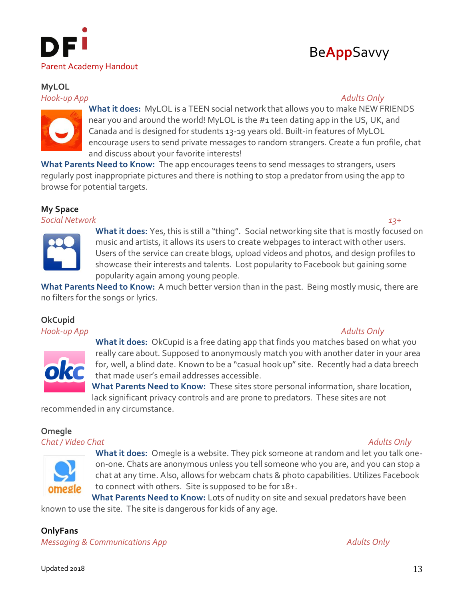

# **MyLOL**

*Hook-up App Adults Only*

# Be**App**Savvy



**What it does:** MyLOL is a TEEN social network that allows you to make NEW FRIENDS near you and around the world! MyLOL is the #1 teen dating app in the US, UK, and Canada and is designed for students 13-19 years old. Built-in features of MyLOL encourage users to send private messages to random strangers. Create a fun profile, chat and discuss about your favorite interests!

**What Parents Need to Know:** The app encourages teens to send messages to strangers, users regularly post inappropriate pictures and there is nothing to stop a predator from using the app to browse for potential targets.

# **My Space**

*Social Network 13+*



**What it does:** Yes, this is still a "thing". Social networking site that is mostly focused on music and artists, it allows its users to create webpages to interact with other users. Users of the service can create blogs, upload videos and photos, and design profiles to showcase their interests and talents. Lost popularity to Facebook but gaining some popularity again among young people.

**What Parents Need to Know:** A much better version than in the past. Being mostly music, there are no filters for the songs or lyrics.

# **OkCupid**

*Hook-up App Adults Only*



**What it does:** OkCupid is a free dating app that finds you matches based on what you really care about. Supposed to anonymously match you with another dater in your area for, well, a blind date. Known to be a "casual hook up" site. Recently had a data breech that made user's email addresses accessible.

**What Parents Need to Know:** These sites store personal information, share location, lack significant privacy controls and are prone to predators. These sites are not

recommended in any circumstance.

# **Omegle**

*Chat / Video Chat Adults Only*



**What it does:** Omegle is a website. They pick someone at random and let you talk oneon-one. Chats are anonymous unless you tell someone who you are, and you can stop a chat at any time. Also, allows for webcam chats & photo capabilities. Utilizes Facebook to connect with others. Site is supposed to be for 18+.

**What Parents Need to Know:** Lots of nudity on site and sexual predators have been known to use the site. The site is dangerous for kids of any age.

# **OnlyFans**

*Messaging & Communications App* Adults Only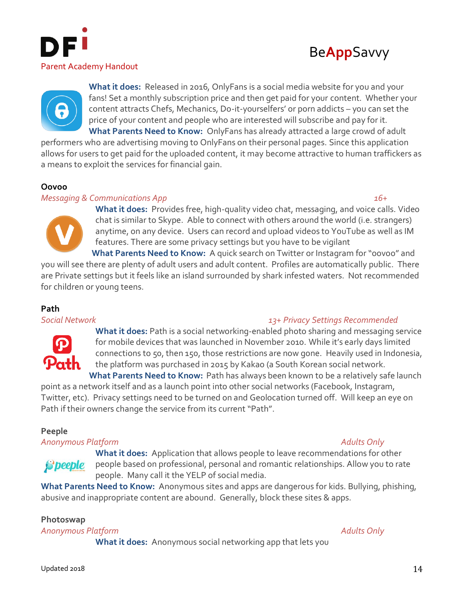





**What it does:** Released in 2016, OnlyFans is a social media website for you and your fans! Set a monthly subscription price and then get paid for your content. Whether your content attracts Chefs, Mechanics, Do-it-yourselfers' or porn addicts – you can set the price of your content and people who are interested will subscribe and pay for it. **What Parents Need to Know:** OnlyFans has already attracted a large crowd of adult

performers who are advertising moving to OnlyFans on their personal pages. Since this application allows for users to get paid for the uploaded content, it may become attractive to human traffickers as a means to exploit the services for financial gain.

# **Oovoo**

# *Messaging & Communications App 16+*

**What it does:** Provides free, high-quality video chat, messaging, and voice calls. Video chat is similar to Skype. Able to connect with others around the world (i.e. strangers) anytime, on any device. Users can record and upload videos to YouTube as well as IM features. There are some privacy settings but you have to be vigilant **What Parents Need to Know:** A quick search on Twitter or Instagram for "oovoo" and

you will see there are plenty of adult users and adult content. Profiles are automatically public. There are Private settings but it feels like an island surrounded by shark infested waters. Not recommended for children or young teens.

# **Path**



# *Social Network 13+ Privacy Settings Recommended*

**What it does:** Path is a social networking-enabled photo sharing and messaging service for mobile devices that was launched in November 2010. While it's early days limited connections to 50, then 150, those restrictions are now gone. Heavily used in Indonesia, the platform was purchased in 2015 by Kakao (a South Korean social network.

**What Parents Need to Know:** Path has always been known to be a relatively safe launch point as a network itself and as a launch point into other social networks (Facebook, Instagram, Twitter, etc). Privacy settings need to be turned on and Geolocation turned off. Will keep an eye on Path if their owners change the service from its current "Path".

# **Peeple**

# *Anonymous Platform Adults Only*

# **S** beeple

**What it does:** Application that allows people to leave recommendations for other people based on professional, personal and romantic relationships. Allow you to rate people. Many call it the YELP of social media.

**What Parents Need to Know:** Anonymous sites and apps are dangerous for kids. Bullying, phishing, abusive and inappropriate content are abound. Generally, block these sites & apps.

# **Photoswap**

*Anonymous Platform Adults Only*

**What it does:** Anonymous social networking app that lets you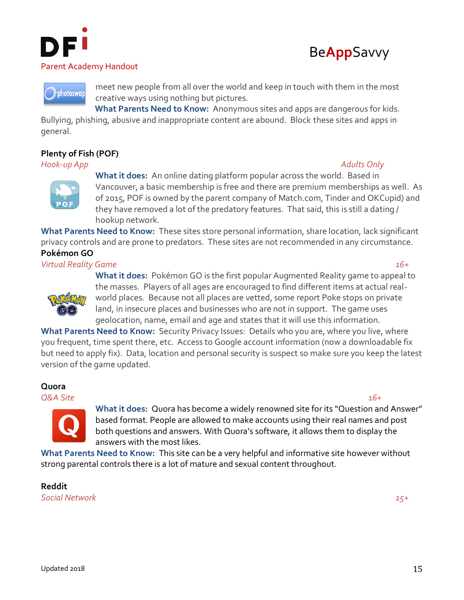





meet new people from all over the world and keep in touch with them in the most creative ways using nothing but pictures.

**What Parents Need to Know:** Anonymous sites and apps are dangerous for kids.

Bullying, phishing, abusive and inappropriate content are abound. Block these sites and apps in general.

# **Plenty of Fish (POF)**

*Hook-up App Adults Only*





**What it does:** An online dating platform popular across the world. Based in Vancouver, a basic membership is free and there are premium memberships as well. As of 2015, POF is owned by the parent company of Match.com, Tinder and OKCupid) and they have removed a lot of the predatory features. That said, this is still a dating / hookup network.

**What Parents Need to Know:** These sites store personal information, share location, lack significant privacy controls and are prone to predators. These sites are not recommended in any circumstance. **Pokémon GO**

# *Virtual Reality Game 16+*



**What it does:** Pokémon GO is the first popular Augmented Reality game to appeal to the masses. Players of all ages are encouraged to find different items at actual realworld places. Because not all places are vetted, some report Poke stops on private land, in insecure places and businesses who are not in support. The game uses geolocation, name, email and age and states that it will use this information.

**What Parents Need to Know:** Security Privacy Issues: Details who you are, where you live, where you frequent, time spent there, etc. Access to Google account information (now a downloadable fix but need to apply fix). Data, location and personal security is suspect so make sure you keep the latest version of the game updated.

# **Quora**

*Q&A Site 16+*



**What it does:** Quora has become a widely renowned site for its "Question and Answer" based format. People are allowed to make accounts using their real names and post both questions and answers. With Quora's software, it allows them to display the answers with the most likes.

**What Parents Need to Know:** This site can be a very helpful and informative site however without strong parental controls there is a lot of mature and sexual content throughout.

**Reddit** *Social Network 15+*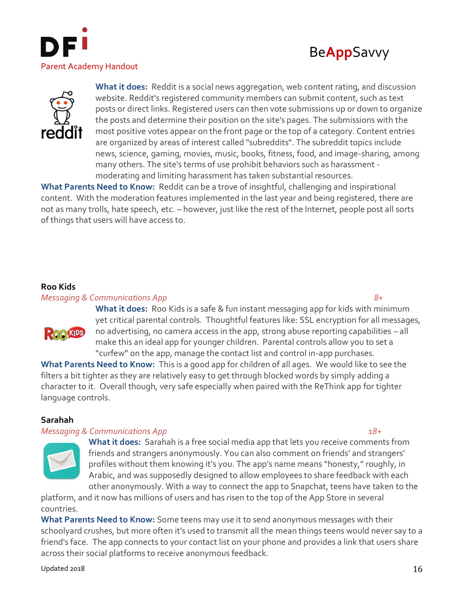





**What it does:** Reddit is a social news aggregation, web content rating, and discussion website. Reddit's registered community members can submit content, such as text posts or direct links. Registered users can then vote submissions up or down to organize the posts and determine their position on the site's pages. The submissions with the most positive votes appear on the front page or the top of a category. Content entries are organized by areas of interest called "subreddits". The subreddit topics include news, science, gaming, movies, music, books, fitness, food, and image-sharing, among many others. The site's terms of use prohibit behaviors such as harassment moderating and limiting harassment has taken substantial resources.

**What Parents Need to Know:** Reddit can be a trove of insightful, challenging and inspirational content. With the moderation features implemented in the last year and being registered, there are not as many trolls, hate speech, etc. – however, just like the rest of the Internet, people post all sorts of things that users will have access to.

# **Roo Kids**

### *Messaging & Communications App 8+*



**What it does:** Roo Kids is a safe & fun instant messaging app for kids with minimum yet critical parental controls. Thoughtful features like: SSL encryption for all messages, no advertising, no camera access in the app, strong abuse reporting capabilities – all make this an ideal app for younger children. Parental controls allow you to set a "curfew" on the app, manage the contact list and control in-app purchases.

**What Parents Need to Know:** This is a good app for children of all ages. We would like to see the filters a bit tighter as they are relatively easy to get through blocked words by simply adding a character to it. Overall though, very safe especially when paired with the ReThink app for tighter language controls.

# **Sarahah**

## *Messaging & Communications App 18+*

**What it does:** Sarahah is a free social media app that lets you receive comments from friends and strangers anonymously. You can also comment on friends' and strangers' profiles without them knowing it's you. The app's name means "honesty," roughly, in Arabic, and was supposedly designed to allow employees to share feedback with each other anonymously. With a way to connect the app to Snapchat, teens have taken to the

platform, and it now has millions of users and has risen to the top of the App Store in several countries.

**What Parents Need to Know:** Some teens may use it to send anonymous messages with their schoolyard crushes, but more often it's used to transmit all the mean things teens would never say to a friend's face. The app connects to your contact list on your phone and provides a link that users share across their social platforms to receive anonymous feedback.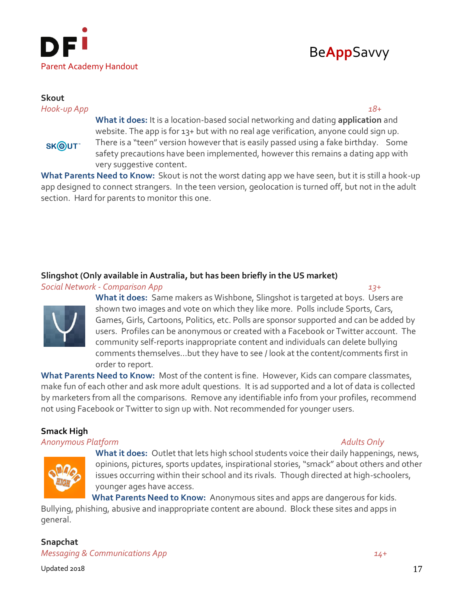



### **Skout** *Hook-up App 18+*

SKOUT<sup>®</sup>

**What it does:** It is a location-based social networking and dating **application** and website. The app is for 13+ but with no real age verification, anyone could sign up. There is a "teen" version however that is easily passed using a fake birthday. Some safety precautions have been implemented, however this remains a dating app with

very suggestive content.

**What Parents Need to Know:** Skout is not the worst dating app we have seen, but it is still a hook-up app designed to connect strangers. In the teen version, geolocation is turned off, but not in the adult section. Hard for parents to monitor this one.

# **Slingshot (Only available in Australia, but has been briefly in the US market)**

*Social Network - Comparison App 13+*



**What it does:** Same makers as Wishbone, Slingshot is targeted at boys. Users are shown two images and vote on which they like more. Polls include Sports, Cars, Games, Girls, Cartoons, Politics, etc. Polls are sponsor supported and can be added by users. Profiles can be anonymous or created with a Facebook or Twitter account. The community self-reports inappropriate content and individuals can delete bullying comments themselves…but they have to see / look at the content/comments first in order to report.

**What Parents Need to Know:** Most of the content is fine. However, Kids can compare classmates, make fun of each other and ask more adult questions. It is ad supported and a lot of data is collected by marketers from all the comparisons. Remove any identifiable info from your profiles, recommend not using Facebook or Twitter to sign up with. Not recommended for younger users.

# **Smack High**

# *Anonymous Platform Adults Only*



**What it does:** Outlet that lets high school students voice their daily happenings, news, opinions, pictures, sports updates, inspirational stories, "smack" about others and other issues occurring within their school and its rivals. Though directed at high-schoolers, younger ages have access.

**What Parents Need to Know:** Anonymous sites and apps are dangerous for kids.

Bullying, phishing, abusive and inappropriate content are abound. Block these sites and apps in general.

**Snapchat** *Messaging & Communications App 14+*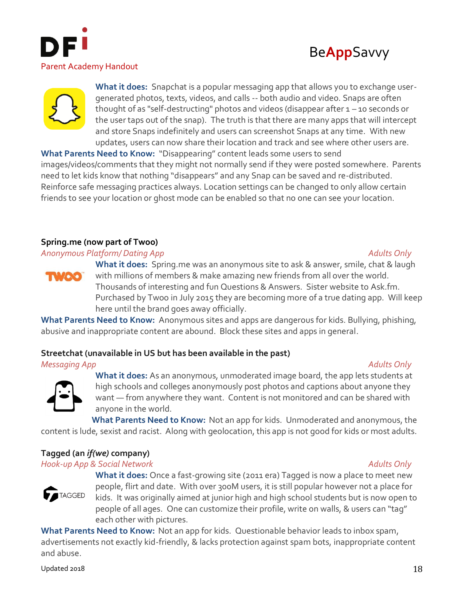





**What it does:** Snapchat is a popular messaging app that allows you to exchange usergenerated photos, texts, videos, and calls -- both audio and video. Snaps are often thought of as "self-destructing" photos and videos (disappear after  $1 - 10$  seconds or the user taps out of the snap). The truth is that there are many apps that will intercept and store Snaps indefinitely and users can screenshot Snaps at any time. With new updates, users can now share their location and track and see where other users are.

**What Parents Need to Know:** "Disappearing" content leads some users to send images/videos/comments that they might not normally send if they were posted somewhere. Parents need to let kids know that nothing "disappears" and any Snap can be saved and re-distributed. Reinforce safe messaging practices always. Location settings can be changed to only allow certain friends to see your location or ghost mode can be enabled so that no one can see your location.

# **Spring.me (now part of Twoo)**

# *Anonymous Platform/ Dating App Adults Only*



**What it does:** Spring.me was an anonymous site to ask & answer, smile, chat & laugh with millions of members & make amazing new friends from all over the world. Thousands of interesting and fun Questions & Answers. Sister website to Ask.fm. Purchased by Twoo in July 2015 they are becoming more of a true dating app. Will keep here until the brand goes away officially.

**What Parents Need to Know:** Anonymous sites and apps are dangerous for kids. Bullying, phishing, abusive and inappropriate content are abound. Block these sites and apps in general.

# **Streetchat (unavailable in US but has been available in the past)**

*Messaging App Adults Only*

**What it does:** As an anonymous, unmoderated image board, the app lets students at high schools and colleges anonymously post photos and captions about anyone they want — from anywhere they want. Content is not monitored and can be shared with anyone in the world.

**What Parents Need to Know:** Not an app for kids. Unmoderated and anonymous, the content is lude, sexist and racist. Along with geolocation, this app is not good for kids or most adults.

# **Tagged (an** *if(we)* **company)**

# *Hook-up App & Social Network Adults Only*

**What it does:** Once a fast-growing site (2011 era) Tagged is now a place to meet new people, flirt and date. With over 300M users, it is still popular however not a place for kids. It was originally aimed at junior high and high school students but is now open to people of all ages. One can customize their profile, write on walls, & users can "tag" each other with pictures.

**What Parents Need to Know:** Not an app for kids. Questionable behavior leads to inbox spam, advertisements not exactly kid-friendly, & lacks protection against spam bots, inappropriate content and abuse.

Updated 2018  $18$ 

**TAGGED**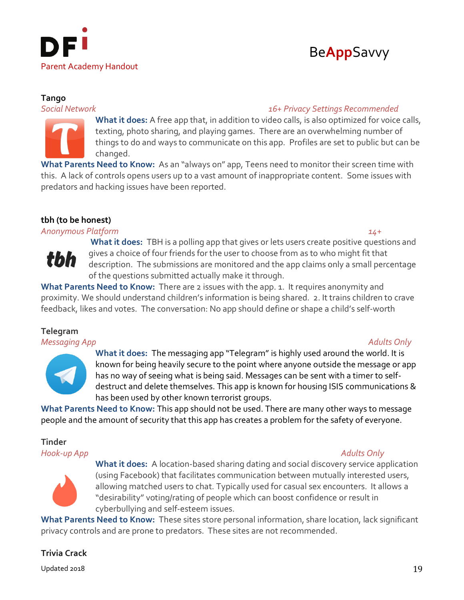



# **Tango**

# *Social Network 16+ Privacy Settings Recommended*



**What it does:** A free app that, in addition to video calls, is also optimized for voice calls, texting, photo sharing, and playing games. There are an overwhelming number of things to do and ways to communicate on this app. Profiles are set to public but can be changed.

**What Parents Need to Know:** As an "always on" app, Teens need to monitor their screen time with this. A lack of controls opens users up to a vast amount of inappropriate content. Some issues with predators and hacking issues have been reported.

# **tbh (to be honest)**

# *Anonymous Platform 14+*



**What it does:** TBH is a polling app that gives or lets users create positive questions and gives a choice of four friends for the user to choose from as to who might fit that description. The submissions are monitored and the app claims only a small percentage of the questions submitted actually make it through.

**What Parents Need to Know:** There are 2 issues with the app. 1. It requires anonymity and proximity. We should understand children's information is being shared. 2. It trains children to crave feedback, likes and votes. The conversation: No app should define or shape a child's self-worth

# **Telegram**

*Messaging App Adults Only*



**What it does:** The messaging app "Telegram" is highly used around the world. It is known for being heavily secure to the point where anyone outside the message or app has no way of seeing what is being said. Messages can be sent with a timer to selfdestruct and delete themselves. This app is known for housing ISIS communications & has been used by other known terrorist groups.

**What Parents Need to Know:** This app should not be used. There are many other ways to message people and the amount of security that this app has creates a problem for the safety of everyone.

# **Tinder**

# *Hook-up App Adults Only*



**What it does:** A location-based sharing dating and social discovery service application (using Facebook) that facilitates communication between mutually interested users, allowing matched users to chat. Typically used for casual sex encounters. It allows a "desirability" voting/rating of people which can boost confidence or result in cyberbullying and self-esteem issues.

**What Parents Need to Know:** These sites store personal information, share location, lack significant privacy controls and are prone to predators. These sites are not recommended.

# **Trivia Crack**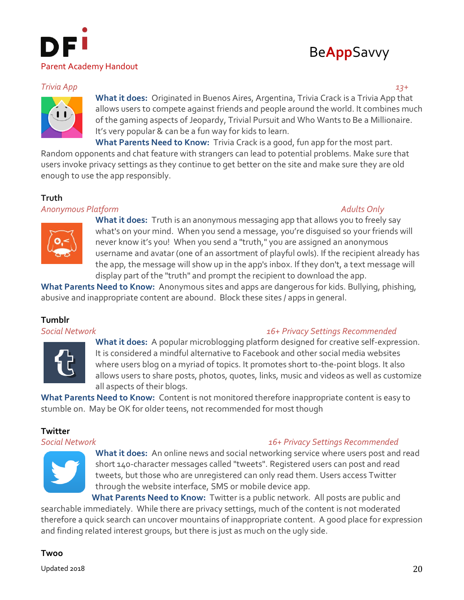

# Be**App**Savvy

# *Trivia App 13+*



**What it does:** Originated in Buenos Aires, Argentina, Trivia Crack is a Trivia App that allows users to compete against friends and people around the world. It combines much of the gaming aspects of Jeopardy, Trivial Pursuit and Who Wants to Be a Millionaire. It's very popular & can be a fun way for kids to learn.

**What Parents Need to Know:** Trivia Crack is a good, fun app for the most part. Random opponents and chat feature with strangers can lead to potential problems. Make sure that users invoke privacy settings as they continue to get better on the site and make sure they are old enough to use the app responsibly.

# **Truth**

# *Anonymous Platform Adults Only*



**What it does:** Truth is an anonymous messaging app that allows you to freely say what's on your mind. When you send a message, you're disguised so your friends will never know it's you! When you send a "truth," you are assigned an anonymous username and avatar (one of an assortment of playful owls). If the recipient already has the app, the message will show up in the app's inbox. If they don't, a text message will display part of the "truth" and prompt the recipient to download the app.

**What Parents Need to Know:** Anonymous sites and apps are dangerous for kids. Bullying, phishing, abusive and inappropriate content are abound. Block these sites / apps in general.

# **Tumblr**



*Social Network 16+ Privacy Settings Recommended*

**What it does:** A popular microblogging platform designed for creative self-expression. It is considered a mindful alternative to Facebook and other social media websites where users blog on a myriad of topics. It promotes short to-the-point blogs. It also allows users to share posts, photos, quotes, links, music and videos as well as customize all aspects of their blogs.

**What Parents Need to Know:** Content is not monitored therefore inappropriate content is easy to stumble on. May be OK for older teens, not recommended for most though

# **Twitter**

*Social Network 16+ Privacy Settings Recommended*



**What it does:** An online news and social networking service where users post and read short 140-character messages called "tweets". Registered users can post and read tweets, but those who are unregistered can only read them. Users access Twitter through the website interface, SMS or mobile device app.

**What Parents Need to Know:** Twitter is a public network. All posts are public and searchable immediately. While there are privacy settings, much of the content is not moderated therefore a quick search can uncover mountains of inappropriate content. A good place for expression and finding related interest groups, but there is just as much on the ugly side.

# **Twoo**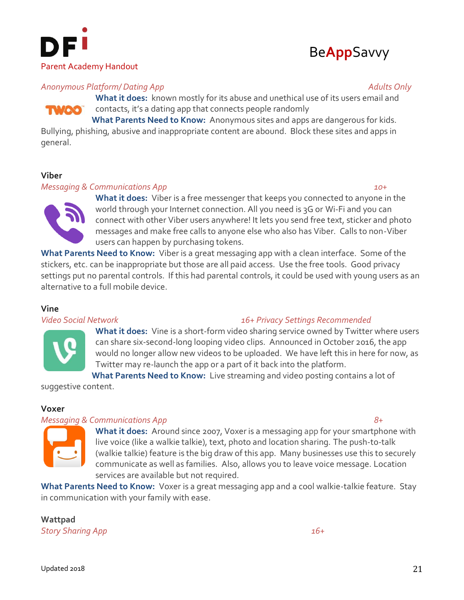



# *Anonymous Platform/ Dating App Adults Only*

**What it does:** known mostly for its abuse and unethical use of its users email and contacts, it's a dating app that connects people randomly

**What Parents Need to Know:** Anonymous sites and apps are dangerous for kids.

Bullying, phishing, abusive and inappropriate content are abound. Block these sites and apps in general.

## **Viber**

### *Messaging & Communications App 10+*



**What it does:** Viber is a free messenger that keeps you connected to anyone in the world through your Internet connection. All you need is 3G or Wi-Fi and you can connect with other Viber users anywhere! It lets you send free text, sticker and photo messages and make free calls to anyone else who also has Viber. Calls to non-Viber users can happen by purchasing tokens.

**What Parents Need to Know:** Viber is a great messaging app with a clean interface. Some of the stickers, etc. can be inappropriate but those are all paid access. Use the free tools. Good privacy settings put no parental controls. If this had parental controls, it could be used with young users as an alternative to a full mobile device.

# **Vine**



# *Video Social Network 16+ Privacy Settings Recommended*

**What it does:** Vine is a short-form video sharing service owned by Twitter where users can share six-second-long looping video clips. Announced in October 2016, the app would no longer allow new videos to be uploaded. We have left this in here for now, as Twitter may re-launch the app or a part of it back into the platform.

**What Parents Need to Know:** Live streaming and video posting contains a lot of suggestive content.

# **Voxer**

# *Messaging & Communications App 8+*



**What it does:** Around since 2007, Voxer is a messaging app for your smartphone with live voice (like a walkie talkie), text, photo and location sharing. The push-to-talk (walkie talkie) feature is the big draw of this app. Many businesses use this to securely communicate as well as families. Also, allows you to leave voice message. Location services are available but not required.

**What Parents Need to Know:** Voxer is a great messaging app and a cool walkie-talkie feature. Stay in communication with your family with ease.

**Wattpad** *Story Sharing App 16+*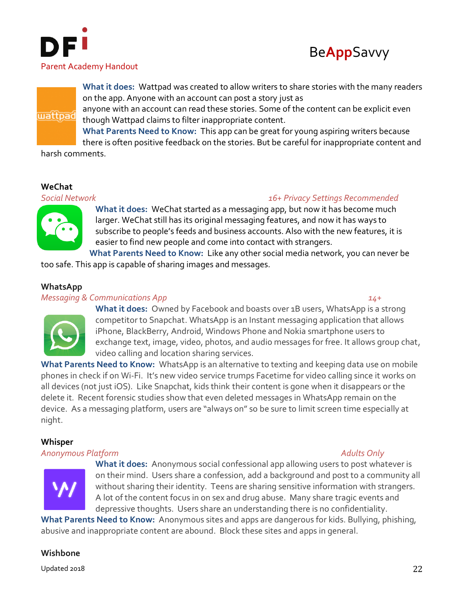



**What it does:** Wattpad was created to allow writers to share stories with the many readers on the app. Anyone with an account can post a story just as

anyone with an account can read these stories. Some of the content can be explicit even though Wattpad claims to filter inappropriate content.

**What Parents Need to Know:** This app can be great for young aspiring writers because there is often positive feedback on the stories. But be careful for inappropriate content and

harsh comments.

# **WeChat**

wattpad

# *Social Network 16+ Privacy Settings Recommended*



**What it does:** WeChat started as a messaging app, but now it has become much larger. WeChat still has its original messaging features, and now it has ways to subscribe to people's feeds and business accounts. Also with the new features, it is easier to find new people and come into contact with strangers.

**What Parents Need to Know:** Like any other social media network, you can never be too safe. This app is capable of sharing images and messages.

# **WhatsApp**

# *Messaging & Communications App 14+*

**What it does:** Owned by Facebook and boasts over 1B users, WhatsApp is a strong competitor to Snapchat. WhatsApp is an Instant messaging application that allows iPhone, BlackBerry, Android, Windows Phone and Nokia smartphone users to exchange text, image, video, photos, and audio messages for free. It allows group chat, video calling and location sharing services.

**What Parents Need to Know:** WhatsApp is an alternative to texting and keeping data use on mobile phones in check if on Wi-Fi. It's new video service trumps Facetime for video calling since it works on all devices (not just iOS). Like Snapchat, kids think their content is gone when it disappears or the delete it. Recent forensic studies show that even deleted messages in WhatsApp remain on the device. As a messaging platform, users are "always on" so be sure to limit screen time especially at night.

# **Whisper**

# *Anonymous Platform Adults Only*



**What it does:** Anonymous social confessional app allowing users to post whatever is on their mind. Users share a confession, add a background and post to a community all without sharing their identity. Teens are sharing sensitive information with strangers. A lot of the content focus in on sex and drug abuse. Many share tragic events and depressive thoughts. Users share an understanding there is no confidentiality.

**What Parents Need to Know:** Anonymous sites and apps are dangerous for kids. Bullying, phishing, abusive and inappropriate content are abound. Block these sites and apps in general.

# **Wishbone**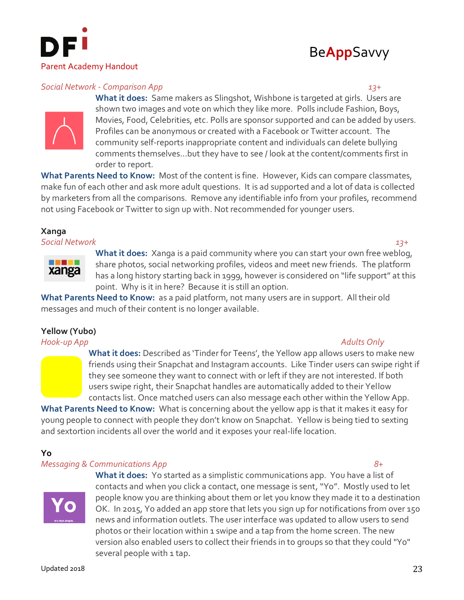



## *Social Network - Comparison App 13+*

**What it does:** Same makers as Slingshot, Wishbone is targeted at girls. Users are shown two images and vote on which they like more. Polls include Fashion, Boys, Movies, Food, Celebrities, etc. Polls are sponsor supported and can be added by users. Profiles can be anonymous or created with a Facebook or Twitter account. The community self-reports inappropriate content and individuals can delete bullying comments themselves…but they have to see / look at the content/comments first in order to report.

**What Parents Need to Know:** Most of the content is fine. However, Kids can compare classmates, make fun of each other and ask more adult questions. It is ad supported and a lot of data is collected by marketers from all the comparisons. Remove any identifiable info from your profiles, recommend not using Facebook or Twitter to sign up with. Not recommended for younger users.

# **Xanga**

*Social Network 13+*



**What it does:** Xanga is a paid community where you can start your own free weblog, share photos, social networking profiles, videos and meet new friends. The platform has a long history starting back in 1999, however is considered on "life support" at this point. Why is it in here? Because it is still an option.

**What Parents Need to Know:** as a paid platform, not many users are in support. All their old messages and much of their content is no longer available.

# **Yellow (Yubo)**

*Hook-up App Adults Only*

**What it does:** Described as 'Tinder for Teens', the Yellow app allows users to make new friends using their Snapchat and Instagram accounts. Like Tinder users can swipe right if they see someone they want to connect with or left if they are not interested. If both users swipe right, their Snapchat handles are automatically added to their Yellow contacts list. Once matched users can also message each other within the Yellow App.

**What Parents Need to Know:** What is concerning about the yellow app is that it makes it easy for young people to connect with people they don't know on Snapchat. Yellow is being tied to sexting and sextortion incidents all over the world and it exposes your real-life location.

# **Yo** *Messaging & Communications App 8+*



**What it does:** Yo started as a simplistic communications app. You have a list of contacts and when you click a contact, one message is sent, "Yo". Mostly used to let people know you are thinking about them or let you know they made it to a destination OK. In 2015, Yo added an app store that lets you sign up for notifications from over 150 news and information outlets. The user interface was updated to allow users to send photos or their location within 1 swipe and a tap from the home screen. The new version also enabled users to collect their friends in to groups so that they could "Yo" several people with 1 tap.